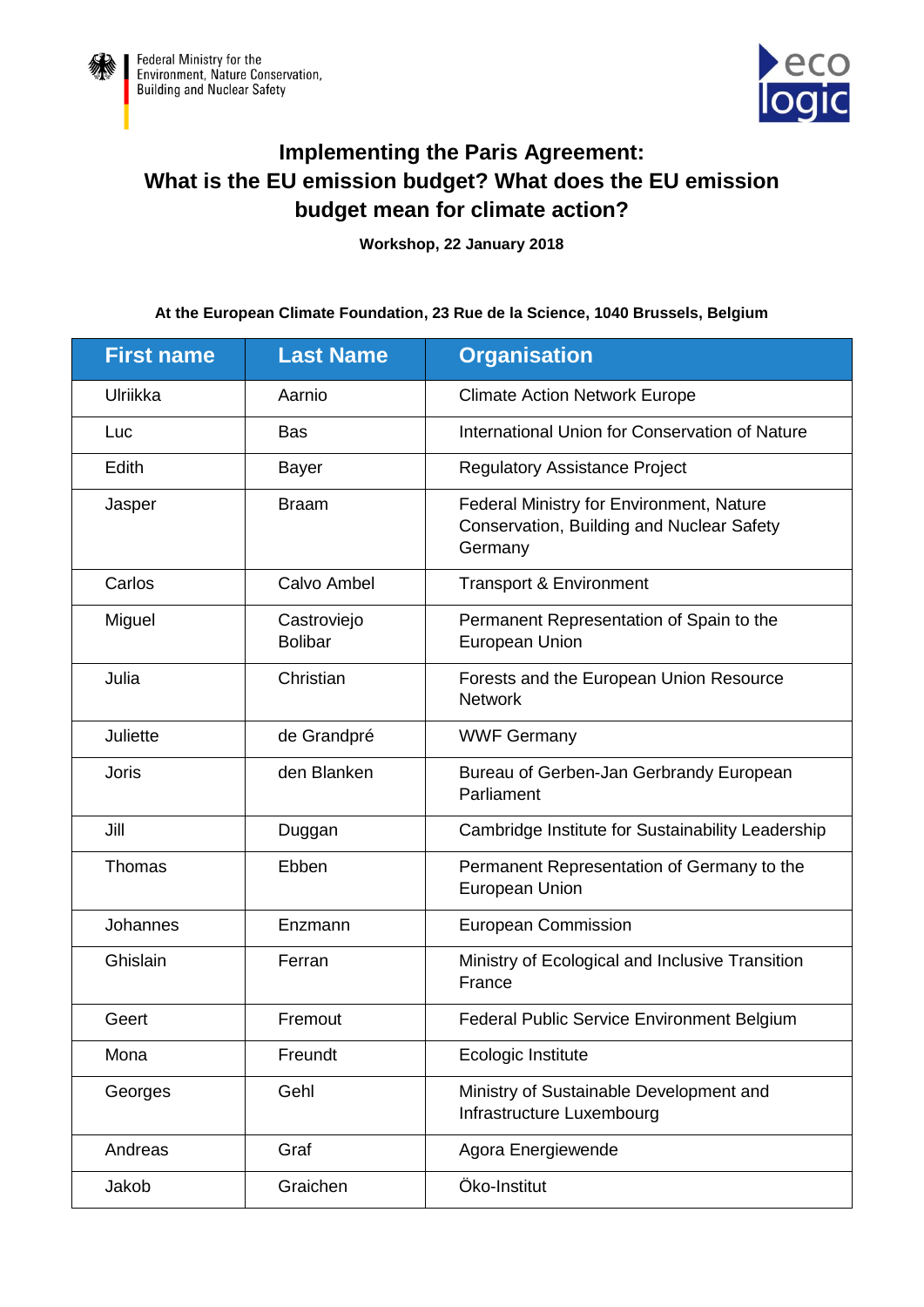



## **Implementing the Paris Agreement: What is the EU emission budget? What does the EU emission budget mean for climate action?**

**Workshop, 22 January 2018**

## **At the European Climate Foundation, 23 Rue de la Science, 1040 Brussels, Belgium**

| <b>First name</b> | <b>Last Name</b>              | <b>Organisation</b>                                                                              |
|-------------------|-------------------------------|--------------------------------------------------------------------------------------------------|
| Ulriikka          | Aarnio                        | <b>Climate Action Network Europe</b>                                                             |
| Luc               | <b>Bas</b>                    | International Union for Conservation of Nature                                                   |
| Edith             | <b>Bayer</b>                  | <b>Regulatory Assistance Project</b>                                                             |
| Jasper            | <b>Braam</b>                  | Federal Ministry for Environment, Nature<br>Conservation, Building and Nuclear Safety<br>Germany |
| Carlos            | Calvo Ambel                   | Transport & Environment                                                                          |
| Miguel            | Castroviejo<br><b>Bolibar</b> | Permanent Representation of Spain to the<br>European Union                                       |
| Julia             | Christian                     | Forests and the European Union Resource<br><b>Network</b>                                        |
| Juliette          | de Grandpré                   | <b>WWF Germany</b>                                                                               |
| <b>Joris</b>      | den Blanken                   | Bureau of Gerben-Jan Gerbrandy European<br>Parliament                                            |
| Jill              | Duggan                        | Cambridge Institute for Sustainability Leadership                                                |
| Thomas            | Ebben                         | Permanent Representation of Germany to the<br><b>European Union</b>                              |
| Johannes          | Enzmann                       | <b>European Commission</b>                                                                       |
| Ghislain          | Ferran                        | Ministry of Ecological and Inclusive Transition<br>France                                        |
| Geert             | Fremout                       | Federal Public Service Environment Belgium                                                       |
| Mona              | Freundt                       | Ecologic Institute                                                                               |
| Georges           | Gehl                          | Ministry of Sustainable Development and<br>Infrastructure Luxembourg                             |
| Andreas           | Graf                          | Agora Energiewende                                                                               |
| Jakob             | Graichen                      | Öko-Institut                                                                                     |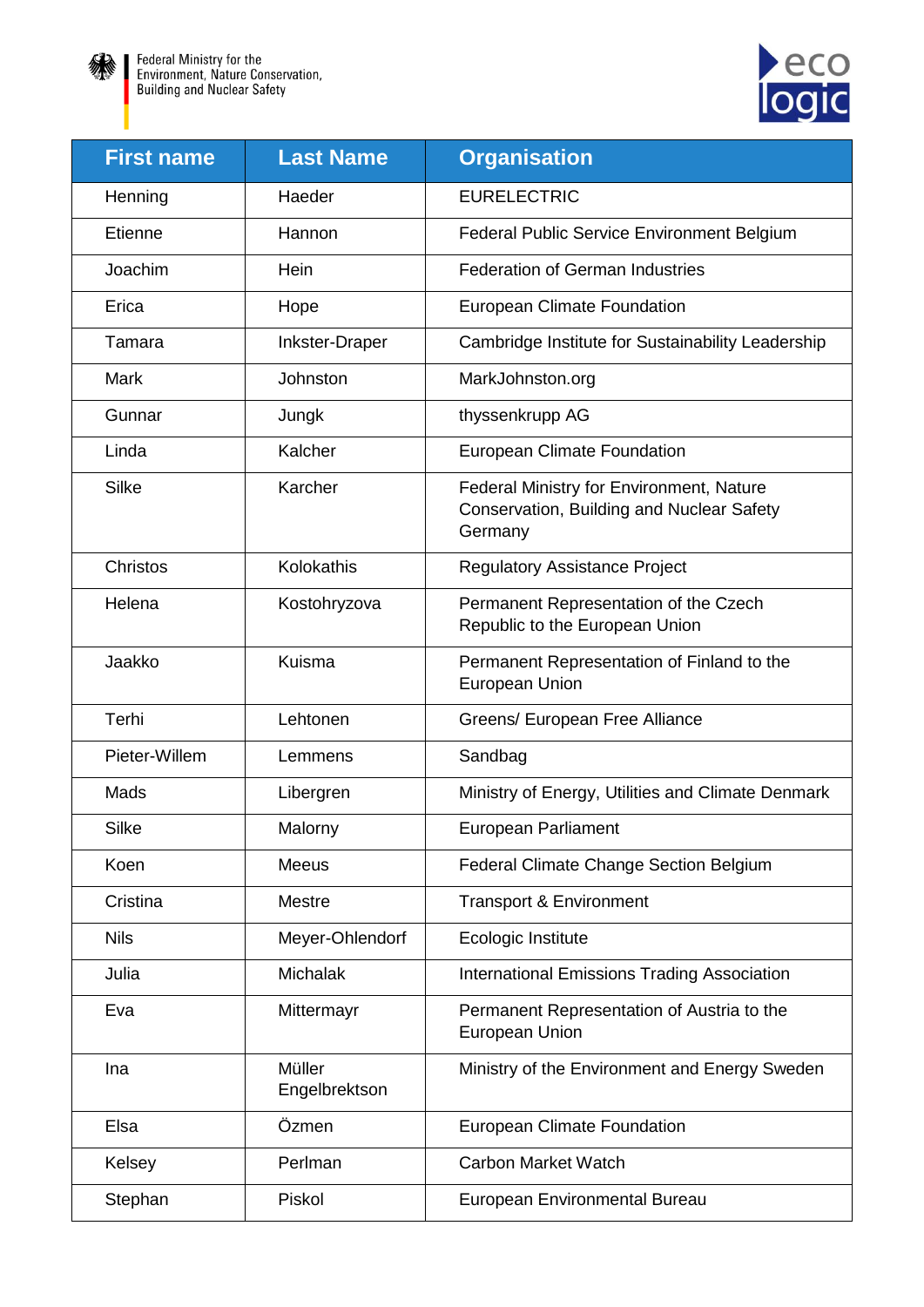



| <b>First name</b> | <b>Last Name</b>        | <b>Organisation</b>                                                                              |
|-------------------|-------------------------|--------------------------------------------------------------------------------------------------|
| Henning           | Haeder                  | <b>EURELECTRIC</b>                                                                               |
| <b>Etienne</b>    | Hannon                  | Federal Public Service Environment Belgium                                                       |
| Joachim           | Hein                    | <b>Federation of German Industries</b>                                                           |
| Erica             | Hope                    | <b>European Climate Foundation</b>                                                               |
| Tamara            | Inkster-Draper          | Cambridge Institute for Sustainability Leadership                                                |
| Mark              | Johnston                | MarkJohnston.org                                                                                 |
| Gunnar            | Jungk                   | thyssenkrupp AG                                                                                  |
| Linda             | Kalcher                 | <b>European Climate Foundation</b>                                                               |
| <b>Silke</b>      | Karcher                 | Federal Ministry for Environment, Nature<br>Conservation, Building and Nuclear Safety<br>Germany |
| Christos          | Kolokathis              | <b>Regulatory Assistance Project</b>                                                             |
| Helena            | Kostohryzova            | Permanent Representation of the Czech<br>Republic to the European Union                          |
| Jaakko            | Kuisma                  | Permanent Representation of Finland to the<br>European Union                                     |
| Terhi             | Lehtonen                | Greens/ European Free Alliance                                                                   |
| Pieter-Willem     | Lemmens                 | Sandbag                                                                                          |
| Mads              | Libergren               | Ministry of Energy, Utilities and Climate Denmark                                                |
| <b>Silke</b>      | Malorny                 | <b>European Parliament</b>                                                                       |
| Koen              | <b>Meeus</b>            | Federal Climate Change Section Belgium                                                           |
| Cristina          | <b>Mestre</b>           | <b>Transport &amp; Environment</b>                                                               |
| <b>Nils</b>       | Meyer-Ohlendorf         | Ecologic Institute                                                                               |
| Julia             | <b>Michalak</b>         | <b>International Emissions Trading Association</b>                                               |
| Eva               | Mittermayr              | Permanent Representation of Austria to the<br>European Union                                     |
| Ina               | Müller<br>Engelbrektson | Ministry of the Environment and Energy Sweden                                                    |
| Elsa              | Özmen                   | <b>European Climate Foundation</b>                                                               |
| Kelsey            | Perlman                 | <b>Carbon Market Watch</b>                                                                       |
| Stephan           | Piskol                  | European Environmental Bureau                                                                    |